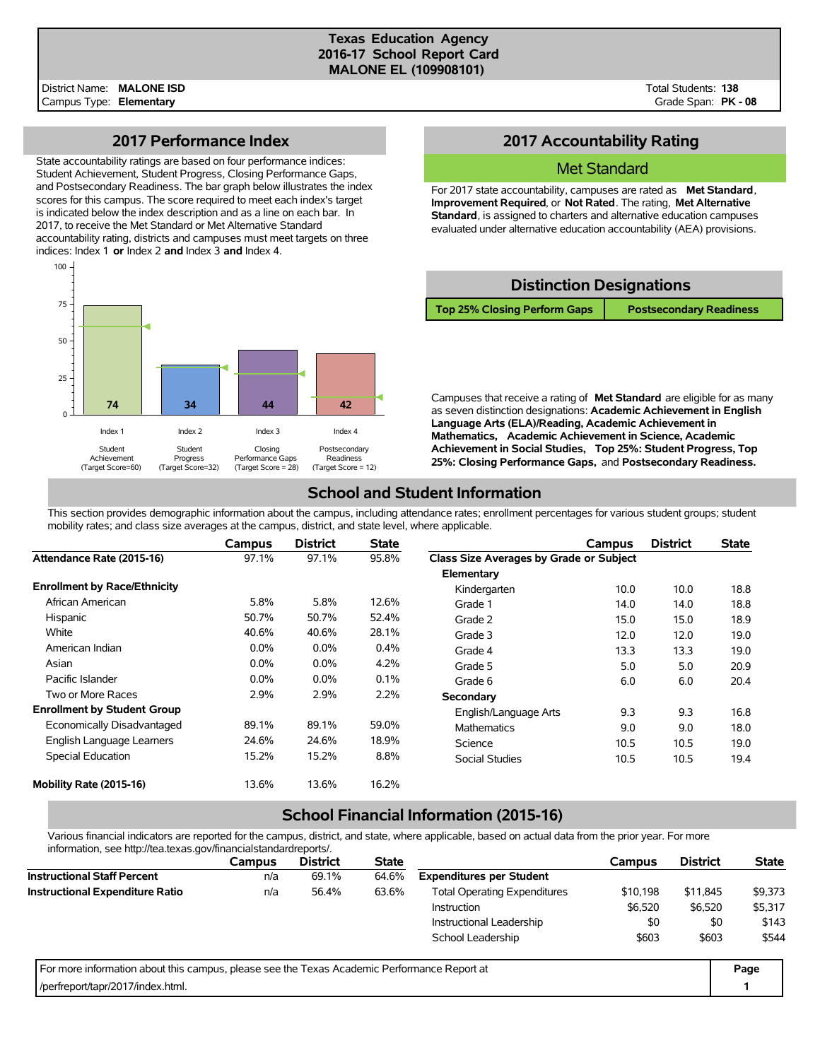#### **Texas Education Agency 2016-17 School Report Card MALONE EL (109908101)**

Total Students: **138** Grade Span: **PK - 08**

### **2017 Performance Index**

State accountability ratings are based on four performance indices: Student Achievement, Student Progress, Closing Performance Gaps, and Postsecondary Readiness. The bar graph below illustrates the index scores for this campus. The score required to meet each index's target is indicated below the index description and as a line on each bar. In 2017, to receive the Met Standard or Met Alternative Standard accountability rating, districts and campuses must meet targets on three indices: Index 1 **or** Index 2 **and** Index 3 **and** Index 4.



# **2017 Accountability Rating**

### Met Standard

For 2017 state accountability, campuses are rated as **Met Standard**, **Improvement Required**, or **Not Rated**. The rating, **Met Alternative Standard**, is assigned to charters and alternative education campuses evaluated under alternative education accountability (AEA) provisions.

### **Distinction Designations**

**Top 25% Closing Perform Gaps Postsecondary Readiness**

Campuses that receive a rating of **Met Standard** are eligible for as many as seven distinction designations: **Academic Achievement in English Language Arts (ELA)/Reading, Academic Achievement in Mathematics, Academic Achievement in Science, Academic Achievement in Social Studies, Top 25%: Student Progress, Top 25%: Closing Performance Gaps,** and **Postsecondary Readiness.**

# **School and Student Information**

This section provides demographic information about the campus, including attendance rates; enrollment percentages for various student groups; student mobility rates; and class size averages at the campus, district, and state level, where applicable.

|                                     | Campus  | <b>District</b> | <b>State</b> |                                         | Campus | <b>District</b> | <b>State</b> |
|-------------------------------------|---------|-----------------|--------------|-----------------------------------------|--------|-----------------|--------------|
| Attendance Rate (2015-16)           | 97.1%   | 97.1%           | 95.8%        | Class Size Averages by Grade or Subject |        |                 |              |
|                                     |         |                 |              | Elementary                              |        |                 |              |
| <b>Enrollment by Race/Ethnicity</b> |         |                 |              | Kindergarten                            | 10.0   | 10.0            | 18.8         |
| African American                    | 5.8%    | 5.8%            | 12.6%        | Grade 1                                 | 14.0   | 14.0            | 18.8         |
| Hispanic                            | 50.7%   | 50.7%           | 52.4%        | Grade 2                                 | 15.0   | 15.0            | 18.9         |
| White                               | 40.6%   | 40.6%           | 28.1%        | Grade 3                                 | 12.0   | 12.0            | 19.0         |
| American Indian                     | $0.0\%$ | $0.0\%$         | 0.4%         | Grade 4                                 | 13.3   | 13.3            | 19.0         |
| Asian                               | $0.0\%$ | 0.0%            | 4.2%         | Grade 5                                 | 5.0    | 5.0             | 20.9         |
| Pacific Islander                    | $0.0\%$ | $0.0\%$         | 0.1%         | Grade 6                                 | 6.0    | 6.0             | 20.4         |
| Two or More Races                   | 2.9%    | 2.9%            | 2.2%         | Secondary                               |        |                 |              |
| <b>Enrollment by Student Group</b>  |         |                 |              | English/Language Arts                   | 9.3    | 9.3             | 16.8         |
| Economically Disadvantaged          | 89.1%   | 89.1%           | 59.0%        | <b>Mathematics</b>                      | 9.0    | 9.0             | 18.0         |
| English Language Learners           | 24.6%   | 24.6%           | 18.9%        | Science                                 | 10.5   | 10.5            | 19.0         |
| Special Education                   | 15.2%   | 15.2%           | 8.8%         | <b>Social Studies</b>                   | 10.5   | 10.5            | 19.4         |
| Mobility Rate (2015-16)             | 13.6%   | 13.6%           | 16.2%        |                                         |        |                 |              |

# **School Financial Information (2015-16)**

Various financial indicators are reported for the campus, district, and state, where applicable, based on actual data from the prior year. For more information, see http://tea.texas.gov/financialstandardreports/.

| <u>lilloilliauvit, see lillp://tea.lexas.gov/illialiciaistalidaluiepoits/.</u>              |        |                 |              |                                                 |         |                 |              |
|---------------------------------------------------------------------------------------------|--------|-----------------|--------------|-------------------------------------------------|---------|-----------------|--------------|
|                                                                                             | Campus | <b>District</b> | <b>State</b> |                                                 | Campus  | <b>District</b> | <b>State</b> |
| <b>Instructional Staff Percent</b>                                                          | n/a    | 69.1%           | 64.6%        | <b>Expenditures per Student</b>                 |         |                 |              |
| <b>Instructional Expenditure Ratio</b>                                                      | n/a    | 56.4%           | 63.6%        | <b>Total Operating Expenditures</b><br>\$10,198 |         |                 | \$9,373      |
|                                                                                             |        |                 |              | <b>Instruction</b>                              | \$6,520 | \$6,520         | \$5,317      |
|                                                                                             |        |                 |              | Instructional Leadership                        | \$0     | \$0             | \$143        |
|                                                                                             |        |                 |              | School Leadership                               | \$603   | \$603           | \$544        |
| For more information about this campus, please see the Texas Academic Performance Report at |        |                 |              |                                                 |         |                 | Page         |
| /perfreport/tapr/2017/index.html.                                                           |        |                 |              |                                                 |         |                 |              |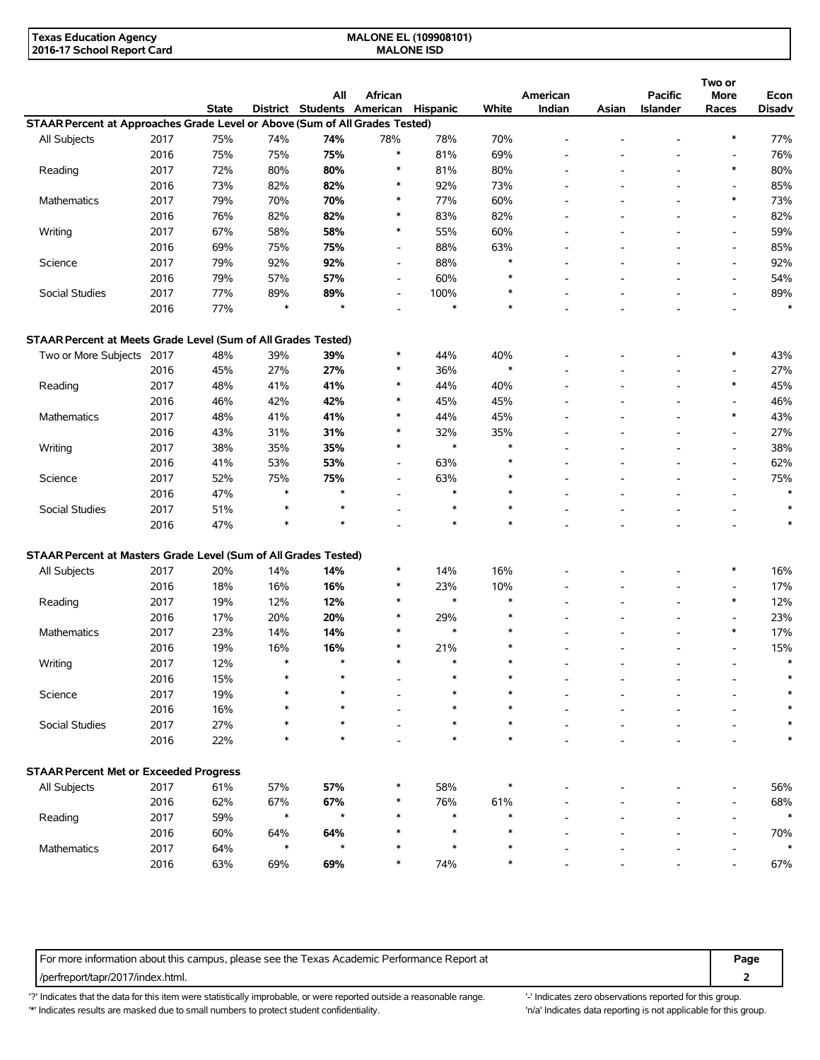| Texas Education Agency     | <b>MALONE EL (109908101)</b> |  |
|----------------------------|------------------------------|--|
| 2016-17 School Report Card | <b>MALONE ISD</b>            |  |

|                                                                             |      | State |        | All<br>District Students | African<br>American      | <b>Hispanic</b> | White            | American<br>Indian       | Asian | <b>Pacific</b><br><b>Islander</b> | Two or<br><b>More</b><br>Races | Econ<br><b>Disadv</b> |
|-----------------------------------------------------------------------------|------|-------|--------|--------------------------|--------------------------|-----------------|------------------|--------------------------|-------|-----------------------------------|--------------------------------|-----------------------|
| STAAR Percent at Approaches Grade Level or Above (Sum of All Grades Tested) |      |       |        |                          |                          |                 |                  |                          |       |                                   |                                |                       |
| All Subjects                                                                | 2017 | 75%   | 74%    | 74%                      | 78%                      | 78%             | 70%              |                          |       |                                   | $\ast$                         | 77%                   |
|                                                                             | 2016 | 75%   | 75%    | 75%                      | $\ast$                   | 81%             | 69%              |                          |       |                                   | $\overline{\phantom{a}}$       | 76%                   |
| Reading                                                                     | 2017 | 72%   | 80%    | 80%                      | *                        | 81%             | 80%              |                          |       | ۰                                 | $\ast$                         | 80%                   |
|                                                                             | 2016 | 73%   | 82%    | 82%                      | $\ast$                   | 92%             | 73%              |                          |       |                                   | $\overline{a}$                 | 85%                   |
| Mathematics                                                                 | 2017 | 79%   | 70%    | 70%                      | *                        | 77%             | 60%              |                          |       |                                   | $\ast$                         | 73%                   |
|                                                                             | 2016 | 76%   | 82%    | 82%                      | *                        | 83%             | 82%              |                          |       |                                   | $\overline{\phantom{a}}$       | 82%                   |
| Writing                                                                     | 2017 | 67%   | 58%    | 58%                      | $\ast$                   | 55%             | 60%              |                          |       |                                   | $\overline{\phantom{a}}$       | 59%                   |
|                                                                             |      |       |        |                          |                          |                 |                  | $\overline{\phantom{a}}$ |       |                                   |                                | 85%                   |
|                                                                             | 2016 | 69%   | 75%    | 75%                      | $\overline{\phantom{a}}$ | 88%             | 63%<br>$\ast$    |                          |       |                                   | $\overline{\phantom{a}}$       |                       |
| Science                                                                     | 2017 | 79%   | 92%    | 92%                      | $\overline{\phantom{a}}$ | 88%             | $\ast$           | $\overline{\phantom{a}}$ |       | ۰                                 | $\overline{\phantom{a}}$       | 92%                   |
|                                                                             | 2016 | 79%   | 57%    | 57%                      | $\overline{\phantom{a}}$ | 60%             |                  |                          |       | ٠                                 | $\blacksquare$                 | 54%                   |
| Social Studies                                                              | 2017 | 77%   | 89%    | 89%                      | $\overline{\phantom{a}}$ | 100%            | $\ast$           |                          |       |                                   | $\overline{\phantom{a}}$       | 89%                   |
|                                                                             | 2016 | 77%   | *      | $\star$                  |                          | $\ast$          | $\ast$           |                          |       |                                   |                                | $\ast$                |
| STAAR Percent at Meets Grade Level (Sum of All Grades Tested)               |      |       |        |                          |                          |                 |                  |                          |       |                                   |                                |                       |
| Two or More Subjects 2017                                                   |      | 48%   | 39%    | 39%                      | *                        | 44%             | 40%              |                          |       |                                   | $\ast$                         | 43%                   |
|                                                                             | 2016 | 45%   | 27%    | 27%                      | *                        | 36%             | $\ast$           |                          |       |                                   | $\overline{a}$                 | 27%                   |
| Reading                                                                     | 2017 | 48%   | 41%    | 41%                      | *                        | 44%             | 40%              |                          |       |                                   | $\ast$                         | 45%                   |
|                                                                             | 2016 | 46%   | 42%    | 42%                      | *                        | 45%             | 45%              |                          |       |                                   | $\blacksquare$                 | 46%                   |
| Mathematics                                                                 | 2017 | 48%   | 41%    | 41%                      | $\ast$                   | 44%             | 45%              |                          |       |                                   | $\ast$                         | 43%                   |
|                                                                             | 2016 | 43%   | 31%    | 31%                      | *                        | 32%             | 35%              |                          |       |                                   | $\overline{a}$                 | 27%                   |
| Writing                                                                     | 2017 | 38%   | 35%    | 35%                      | *                        | $\ast$          | $\ast$           | $\overline{a}$           |       |                                   | $\blacksquare$                 | 38%                   |
|                                                                             | 2016 | 41%   | 53%    | 53%                      | $\overline{\phantom{a}}$ | 63%             | $\ast$           | $\overline{\phantom{a}}$ |       |                                   | $\blacksquare$                 | 62%                   |
| Science                                                                     | 2017 | 52%   | 75%    | 75%                      | $\overline{\phantom{a}}$ | 63%             | $\ast$           |                          |       |                                   | $\overline{\phantom{a}}$       | 75%                   |
|                                                                             | 2016 | 47%   | $\ast$ | $\star$                  | $\overline{\phantom{a}}$ | $\ast$          | $\ast$           |                          |       |                                   | $\overline{\phantom{a}}$       | $\ast$                |
| Social Studies                                                              | 2017 | 51%   | $\ast$ | $\star$                  |                          | $\ast$          | $\ast$           |                          |       |                                   | $\overline{\phantom{a}}$       | $\ast$                |
|                                                                             | 2016 | 47%   | $\ast$ | $\star$                  |                          | $\ast$          | $\ast$           |                          |       |                                   |                                | $\ast$                |
| STAAR Percent at Masters Grade Level (Sum of All Grades Tested)             |      |       |        |                          |                          |                 |                  |                          |       |                                   |                                |                       |
|                                                                             |      |       |        |                          | $\ast$                   | 14%             | 16%              |                          |       |                                   | $\ast$                         |                       |
| All Subjects                                                                | 2017 | 20%   | 14%    | 14%<br>16%               | *                        |                 |                  |                          |       |                                   |                                | 16%<br>17%            |
|                                                                             | 2016 | 18%   | 16%    |                          | *                        | 23%<br>$\ast$   | 10%<br>$\ast$    |                          |       | ٠                                 | $\blacksquare$<br>$\ast$       |                       |
| Reading                                                                     | 2017 | 19%   | 12%    | 12%                      |                          |                 |                  |                          |       | ٠                                 |                                | 12%                   |
|                                                                             | 2016 | 17%   | 20%    | 20%                      | *                        | 29%<br>$\ast$   | $\ast$<br>$\ast$ |                          |       |                                   | $\overline{a}$                 | 23%                   |
| <b>Mathematics</b>                                                          | 2017 | 23%   | 14%    | 14%                      | *                        |                 |                  |                          |       | ٠                                 | $\ast$                         | 17%                   |
|                                                                             | 2016 | 19%   | 16%    | 16%                      | *                        | 21%             | $\ast$           |                          |       |                                   | $\overline{\phantom{a}}$       | 15%                   |
| Writing                                                                     | 2017 | 12%   | $\ast$ | $\star$                  | $\ast$                   | $\ast$          | $\ast$           |                          |       |                                   | $\overline{a}$                 | $\ast$                |
|                                                                             | 2016 | 15%   |        |                          |                          |                 |                  |                          |       |                                   |                                |                       |
| Science                                                                     | 2017 | 19%   |        |                          |                          |                 | $\ast$           |                          |       |                                   |                                |                       |
|                                                                             | 2016 | 16%   |        |                          |                          |                 | $\ast$           |                          |       |                                   |                                |                       |
| Social Studies                                                              | 2017 | 27%   |        |                          |                          |                 | $\ast$           |                          |       |                                   |                                |                       |
|                                                                             | 2016 | 22%   | *      | $\star$                  |                          | $\ast$          | $\ast$           |                          |       |                                   |                                |                       |
| <b>STAAR Percent Met or Exceeded Progress</b>                               |      |       |        |                          |                          |                 |                  |                          |       |                                   |                                |                       |
| All Subjects                                                                | 2017 | 61%   | 57%    | 57%                      |                          | 58%             | $\ast$           |                          |       |                                   |                                | 56%                   |
|                                                                             | 2016 | 62%   | 67%    | 67%                      |                          | 76%             | 61%              |                          |       |                                   |                                | 68%                   |
| Reading                                                                     | 2017 | 59%   | $\ast$ |                          |                          | $\ast$          | $\ast$           |                          |       |                                   |                                |                       |
|                                                                             | 2016 | 60%   | 64%    | 64%                      |                          | $\ast$          | $\ast$           |                          |       |                                   |                                | 70%                   |
| Mathematics                                                                 | 2017 | 64%   | $\ast$ |                          |                          |                 | $\ast$           |                          |       |                                   |                                |                       |
|                                                                             | 2016 | 63%   | 69%    | 69%                      |                          | 74%             | $\ast$           |                          |       |                                   |                                | 67%                   |

For more information about this campus, please see the Texas Academic Performance Report at **Page Page** /perfreport/tapr/2017/index.html. **2**

'?' Indicates that the data for this item were statistically improbable, or were reported outside a reasonable range. '-' Indicates zero observations reported for this group. \*' Indicates results are masked due to small numbers to protect student confidentiality. Ma' Indicates data reporting is not applicable for this group.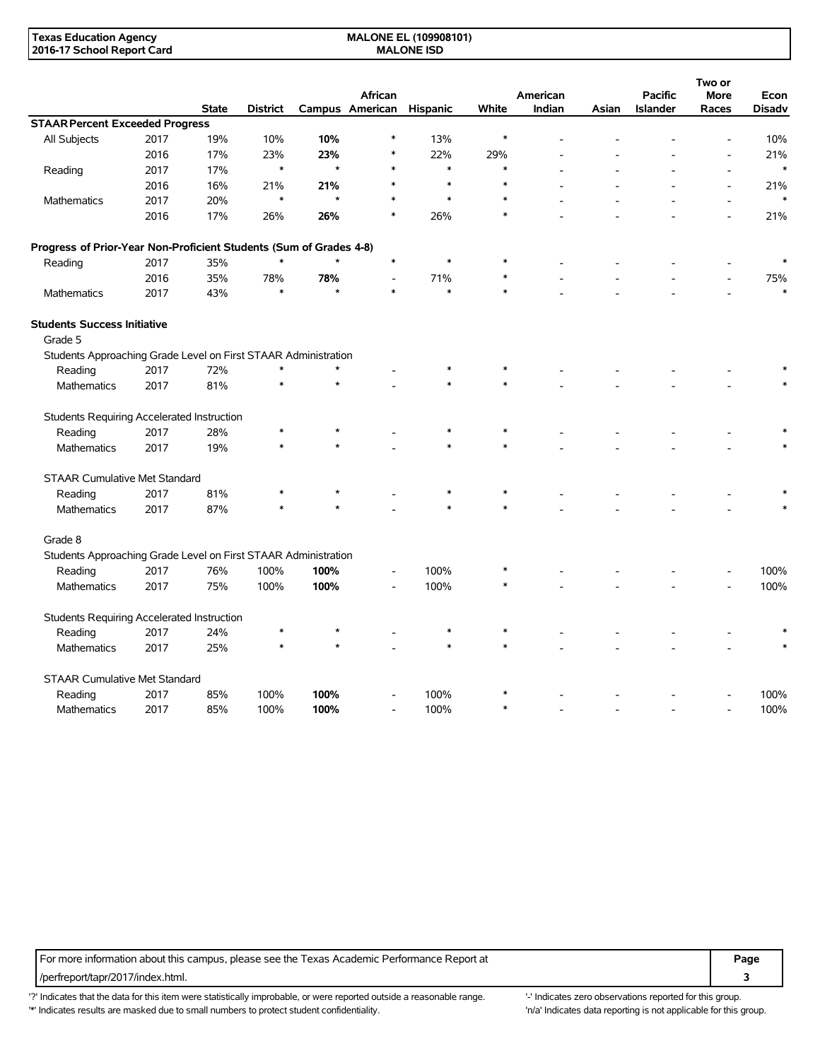| <b>Texas Education Agency</b> | <b>MALONE EL (109908101)</b> |  |
|-------------------------------|------------------------------|--|
| 2016-17 School Report Card    | <b>MALONE ISD</b>            |  |

|                                                                    |      | <b>State</b> | <b>District</b> |         | African<br>Campus American | <b>Hispanic</b> | White  | American<br>Indian | Asian | <b>Pacific</b><br><b>Islander</b> | Two or<br><b>More</b><br>Races | Econ<br><b>Disadv</b> |
|--------------------------------------------------------------------|------|--------------|-----------------|---------|----------------------------|-----------------|--------|--------------------|-------|-----------------------------------|--------------------------------|-----------------------|
| <b>STAAR Percent Exceeded Progress</b>                             |      |              |                 |         |                            |                 |        |                    |       |                                   |                                |                       |
| All Subjects                                                       | 2017 | 19%          | 10%             | 10%     | *                          | 13%             | $\ast$ |                    |       |                                   |                                | 10%                   |
|                                                                    | 2016 | 17%          | 23%             | 23%     | *                          | 22%             | 29%    |                    |       |                                   |                                | 21%                   |
| Reading                                                            | 2017 | 17%          | $\ast$          | $\star$ | $\ast$                     | $\ast$          | $\ast$ |                    |       |                                   |                                | $\ast$                |
|                                                                    | 2016 | 16%          | 21%             | 21%     | $\ast$                     | $\ast$          | *      |                    |       |                                   |                                | 21%                   |
| Mathematics                                                        | 2017 | 20%          | $\ast$          | $\star$ |                            | $\ast$          | $\ast$ |                    |       |                                   |                                | $\ast$                |
|                                                                    | 2016 | 17%          | 26%             | 26%     | $\ast$                     | 26%             | $\ast$ |                    |       |                                   |                                | 21%                   |
| Progress of Prior-Year Non-Proficient Students (Sum of Grades 4-8) |      |              |                 |         |                            |                 |        |                    |       |                                   |                                |                       |
| Reading                                                            | 2017 | 35%          | $\ast$          | $\star$ | $\ast$                     | $\ast$          | *      |                    |       |                                   |                                | $\ast$                |
|                                                                    | 2016 | 35%          | 78%             | 78%     | $\overline{\phantom{0}}$   | 71%             | $\ast$ |                    |       |                                   |                                | 75%                   |
| Mathematics                                                        | 2017 | 43%          | $\ast$          | $\star$ | $\ast$                     | $\ast$          | $\ast$ |                    |       |                                   |                                | $\ast$                |
| <b>Students Success Initiative</b><br>Grade 5                      |      |              |                 |         |                            |                 |        |                    |       |                                   |                                |                       |
| Students Approaching Grade Level on First STAAR Administration     |      |              |                 |         |                            |                 |        |                    |       |                                   |                                |                       |
| Reading                                                            | 2017 | 72%          | $\ast$          |         |                            |                 |        |                    |       |                                   |                                |                       |
| Mathematics                                                        | 2017 | 81%          |                 |         |                            |                 |        |                    |       |                                   |                                |                       |
| Students Requiring Accelerated Instruction                         |      |              |                 |         |                            |                 |        |                    |       |                                   |                                |                       |
| Reading                                                            | 2017 | 28%          |                 |         |                            |                 |        |                    |       |                                   |                                |                       |
| <b>Mathematics</b>                                                 | 2017 | 19%          |                 |         |                            |                 |        |                    |       |                                   |                                |                       |
| <b>STAAR Cumulative Met Standard</b>                               |      |              |                 |         |                            |                 |        |                    |       |                                   |                                |                       |
| Reading                                                            | 2017 | 81%          |                 |         |                            | $\ast$          | $\ast$ |                    |       |                                   |                                |                       |
| <b>Mathematics</b>                                                 | 2017 | 87%          |                 |         |                            | $\ast$          | $\ast$ |                    |       |                                   |                                |                       |
| Grade 8                                                            |      |              |                 |         |                            |                 |        |                    |       |                                   |                                |                       |
| Students Approaching Grade Level on First STAAR Administration     |      |              |                 |         |                            |                 |        |                    |       |                                   |                                |                       |
| Reading                                                            | 2017 | 76%          | 100%            | 100%    |                            | 100%            |        |                    |       |                                   |                                | 100%                  |
| Mathematics                                                        | 2017 | 75%          | 100%            | 100%    |                            | 100%            |        |                    |       |                                   |                                | 100%                  |
| Students Requiring Accelerated Instruction                         |      |              |                 |         |                            |                 |        |                    |       |                                   |                                |                       |
| Reading                                                            | 2017 | 24%          | $\ast$          |         |                            | $\ast$          |        |                    |       |                                   |                                |                       |
| Mathematics                                                        | 2017 | 25%          | $\ast$          |         |                            | $\ast$          | $\ast$ |                    |       |                                   |                                |                       |
| <b>STAAR Cumulative Met Standard</b>                               |      |              |                 |         |                            |                 |        |                    |       |                                   |                                |                       |
| Reading                                                            | 2017 | 85%          | 100%            | 100%    |                            | 100%            |        |                    |       |                                   |                                | 100%                  |
| Mathematics                                                        | 2017 | 85%          | 100%            | 100%    |                            | 100%            | $\ast$ |                    |       |                                   |                                | 100%                  |

For more information about this campus, please see the Texas Academic Performance Report at **Page** Page /perfreport/tapr/2017/index.html. **3**

'?' Indicates that the data for this item were statistically improbable, or were reported outside a reasonable range. '-' Indicates zero observations reported for this group. '\*' Indicates results are masked due to small numbers to protect student confidentiality. Moreover, the context of the strong is not applicable for this group.